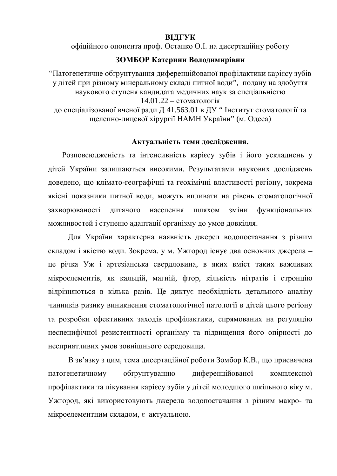# **ВІДГУК**

офіційного опонента проф. Остапко О.І. на дисертаційну роботу

# **ЗОМБОР Катерини Володимирівни**

"Патогенетичне обґрунтування диференційованої профілактики карієсу зубів у дітей при різному мінеральному складі питної води", подану на здобуття наукового ступеня кандилата медичних наук за спеціальністю  $14.01.22 -$  стоматологія до спеціалізованої вченої ради Д 41.563.01 в ДУ " Інститут стоматології та щелепно-лицевої хірургії НАМН України" (м. Одеса)

## Актуальність теми дослідження.

Розповсюдженість та інтенсивність карієсу зубів і його ускладнень у дітей України залишаються високими. Результатами наукових досліджень доведено, що клімато-географічні та геохімічні властивості регіону, зокрема якісні показники питної води, можуть впливати на рівень стоматологічної захворюваності дитячого населення шляхом зміни функціональних можливостей і ступеню адаптації організму до умов довкілля.

Для України характерна наявність джерел водопостачання з різним складом і якістю води. Зокрема. у м. Ужгород існує два основних джерела – це річка Уж і артезіанська свердловина, в яких вміст таких важливих мікроелементів, як кальцій, магній, фтор, кількість нітратів і стронцію відрізняються в кілька разів. Це диктує необхідність детального аналізу чинників ризику виникнення стоматологічної патології в дітей цього регіону та розробки ефективних заходів профілактики, спрямованих на регуляцію неспецифічної резистентності організму та підвищення його опірності до несприятливих умов зовнішнього середовища.

В зв'язку з цим, тема дисертаційної роботи Зомбор К.В., що присвячена патогенетичному обгрунтуванню диференційованої комплексної профілактики та лікування карієсу зубів у дітей молодшого шкільного віку м. Ужгород, які використовують джерела водопостачання з різним макро- та мікроелементним складом, є актуальною.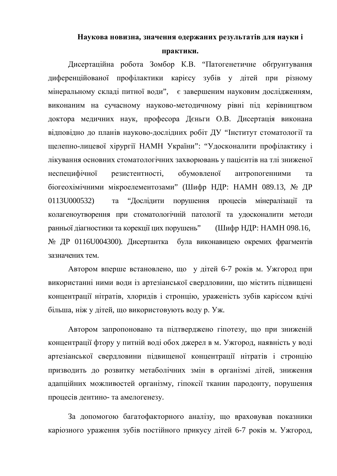## Наукова новизна, значення одержаних результатів для науки і

#### Практики.

Дисертаційна робота Зомбор К.В. "Патогенетичне обгрунтування диференційованої профілактики карієсу зубів у дітей при різному мінеральному складі питної води", є завершеним науковим дослідженням, виконаним на сучасному науково-методичному рівні під керівництвом доктора медичних наук, професора Дєньги О.В. Дисертація виконана відповідно до планів науково-дослідних робіт ДУ "Інститут стоматології та щелепно-лицевої хірургії НАМН України": "Удосконалити профілактику і лікування основних стоматологічних захворювань у пацієнтів на тлі зниженої неспецифічної резистентності, обумовленої антропогенними та біогеохімічними мікроелементозами" (Шифр НДР: НАМН 089.13, № ДР 0113U000532) та "Дослідити порушення процесів мінералізації та колагеноутворення при стоматологічній патології та удосконалити методи ранньої діагностики та корекції цих порушень" (Шифр НДР: НАМН 098.16, № ДР 0116U004300). Дисертантка була виконавицею окремих фрагментів зазначених тем.

Автором вперше встановлено, що у літей 6-7 років м. Ужгород при використанні ними води із артезіанської свердловини, що містить підвищені концентрації нітратів, хлоридів і стронцію, ураженість зубів карієсом вдічі більша, ніж у дітей, що використовують воду р. Уж.

Автором запропоновано та підтверджено гіпотезу, що при зниженій концентрації фтору у питній воді обох джерел в м. Ужгород, наявність у воді артезіанської свердловини підвищеної концентрації нітратів і стронцію призводить до розвитку метаболічних змін в організмі дітей, зниження адапційних можливостей організму, гіпоксії тканин пародонту, порушення процесів дентино- та амелогенезу.

За допомогою багатофакторного аналізу, що враховував показники каріозного ураження зубів постійного прикусу дітей 6-7 років м. Ужгород,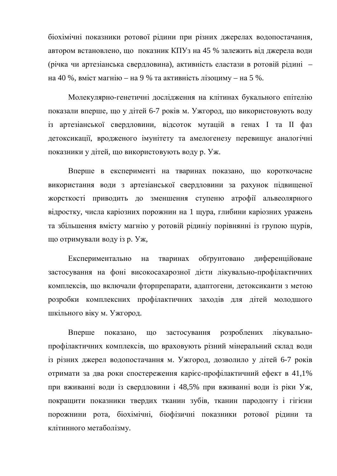біохімічні показники ротової рідини при різних джерелах водопостачання, автором встановлено, що показник КПУз на 45 % залежить від джерела води (річка чи артезіанська свердловина), активність еластази в ротовій рідині – на 40 %, вміст магнію – на 9 % та активність лізоциму – на 5 %.

Молекулярно-генетичні дослідження на клітинах букального епітелію показали вперше, що у дітей 6-7 років м. Ужгород, що використовують воду із артезіанської свердловини, відсоток мутацій в генах I та II фаз детоксикації, вродженого імунітету та амелогенезу перевищує аналогічні показники у дітей, що використовують воду р. Уж.

Вперше в експерименті на тваринах показано, що короткочасне використання води з артезіанської свердловини за рахунок підвищеної жорсткості приводить до зменшення ступеню атрофії альвеолярного відростку, числа каріозних порожнин на 1 щура, глибини каріозних уражень та збільшення вмісту магнію у ротовій рідиніу порівнянні із групою щурів, що отримували воду із р. Уж,

Експериментально на тваринах обтрунтовано диференційоване застосування на фоні високосахарозної дієти лікувально-профілактичних комплексів, що включали фторпрепарати, адаптогени, детоксиканти з метою розробки комплексних профілактичних заходів для дітей молодшого шкільного віку м. Ужгород.

Вперше показано, що застосування розроблених лікувальнопрофілактичних комплексів, що враховують різний мінеральний склад води із різних джерел водопостачання м. Ужгород, дозволило у дітей 6-7 років отримати за два роки спостереження карієс-профілактичний ефект в 41,1% при вживанні води із свердловини і 48,5% при вживанні води із ріки Уж, покращити показники твердих тканин зубів, тканин пародонту і гігієни порожнини рота, біохімічні, біофізичні показники ротової рідини та клітинного метаболізму.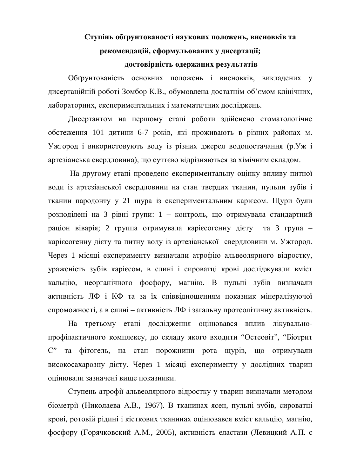# Ступінь обґрунтованості наукових положень, висновків та рекомендацій, сформульованих у дисертації; достовірність одержаних результатів

Обґрунтованість основних положень і висновків, викладених у дисертаційній роботі Зомбор К.В., обумовлена достатнім об'ємом клінічних, лабораторних, експериментальних і математичних досліджень.

Дисертантом на першому етапі роботи здійснено стоматологічне обстеження 101 дитини 6-7 років, які проживають в різних районах м. Ужгород і використовують воду із різних джерел водопостачання (р. Уж і артезіанська свердловина), що суттєво відрізняються за хімічним складом.

На другому етапі проведено експериментальну оцінку впливу питної води із артезіанської свердловини на стан твердих тканин, пульпи зубів і тканин пародонту у 21 щура із експериментальним карієсом. Щури були розподілені на 3 рівні групи: 1 – контроль, що отримувала стандартний раціон віварія; 2 группа отримувала карієсогенну дієту та 3 група карієсогенну дієту та питну воду із артезіанської свердловини м. Ужгород. Через 1 місяці експерименту визначали атрофію альвеолярного відростку, ураженість зубів карієсом, в слині і сироватці крові досліджували вміст кальцію, неорганічного фосфору, магнію. В пульпі зубів визначали активність ЛФ і КФ та за їх співвідношенням показник мінералізуючої спроможності, а в слині – активність ЛФ і загальну протеолітичну активність.

На третьому етапі дослідження оцінювався вплив лікувальнопрофілактичного комплексу, до складу якого входити "Остеовіт", "Біотрит С" та фітогель, на стан порожнини рота щурів, що отримували високосахарозну дієту. Через 1 місяці експерименту у дослідних тварин оцінювали зазначені вище показники.

Ступень атрофії альвеолярного відростку у тварин визначали методом біометрії (Николаева А.В., 1967). В тканинах ясен, пульпі зубів, сироватці крові, ротовій рілині і кісткових тканинах оцінювався вміст кальцію, магнію, фосфору (Горячковский А.М., 2005), активність еластази (Левицкий А.П. с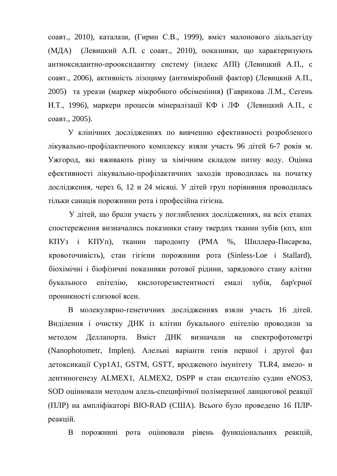соавт., 2010), каталази, (Гирин С.В., 1999), вміст малонового діальдегіду (МДА) (Левицкий А.П. с соавт., 2010), показники, що характеризують антиоксидантно-прооксидантну систему (індекс АПІ) (Левицкий А.П., с соавт., 2006), активність лізоциму (антимікробний фактор) (Левицкий А.П., 2005) та уреази (маркер мікробного обсіменіння) (Гаврикова Л.М., Сегень И.Т., 1996), маркери процесів мінералізації КФ і ЛФ (Левицкий А.П., с соавт., 2005).

У клінічних дослідженнях по вивченню ефективності розробленого лікувально-профілактичного комплексу взяли участь 96 дітей 6-7 років м. Ужгород, які вживають різну за хімічним складом питну воду. Оцінка ефективності лікувально-профілактичних заходів проводилась на початку дослідження, через 6, 12 и 24 місяці. У дітей груп порівняння проводилась тільки санація порожнини рота і професійна гігієна.

У дітей, що брали участь у поглиблених дослідженнях, на всіх етапах спостереження визначались показники стану твердих тканин зубів (кпз, кпп КПУз і КПУп), тканин пародонту (РМА %, Шиллера-Писарєва, кровоточивість), стан гігієни порожнини рота (Sinless-Loe i Stallard), біохімічні і біофізичні показники ротової рідини, зарядового стану клітин букального епітелію, кислоторезистентності емалі зубів, бар'єрної проникності слизової ясен.

В молекулярно-генетичних дослідженнях взяли участь 16 дітей. Виділення і очистку ДНК із клітин букального епітелію проводили за методом Деллапорта. Вміст ДНК визначали на спектрофотометрі (Nanophotometr, Implen). Алельні варіанти генів першої і другої фаз детоксикації Cyp1A1, GSTM, GSTT, вродженого імунітету TLR4, амело- и дентиногенезу ALMEX1, ALMEX2, DSPP и стан ендотелію судин eNOS3, SOD оцінювали методом алель-специфічної полімеразної ланцюгової реакції (ПЛР) на ампліфікаторі BIO-RAD (США). Всього було проведено 16 ПЛРреакцій.

В порожнині рота оцінювали рівень функціональних реакцій,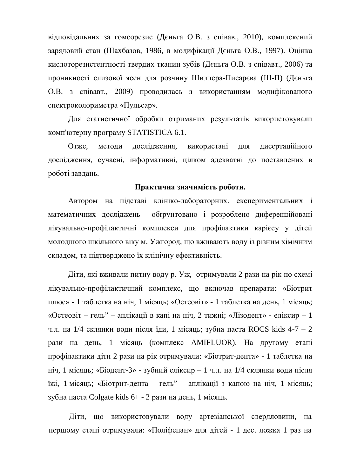відповідальних за гомеорезис (Дєньга О.В. з співав., 2010), комплексний зарядовий стан (Шахбазов, 1986, в модифікації Дєньга О.В., 1997). Оцінка кислоторезистентності твердих тканин зубів (Дєньга О.В. з співавт., 2006) та проникності слизової ясен для розчину Шиллера-Писарєва (Ш-П) (Дєньга О.В. з співавт., 2009) проводилась з використанням модифікованого спектроколориметра «Пульсар».

Для статистичної обробки отриманих результатів використовували комп'ютерну програму STATISTICA 6.1.

Отже, методи дослідження, використані для дисертаційного дослідження, сучасні, інформативні, цілком адекватні до поставлених в роботі завдань.

#### Практична значимість роботи.

Автором на підставі клініко-лабораторних експериментальних і математичних досліджень обтрунтовано і розроблено диференційовані лікувально-профілактичні комплекси для профілактики карієсу у дітей молодшого шкільного віку м. Ужгород, що вживають воду із різним хімічним складом, та підтверджено їх клінічну ефективність.

Діти, які вживали питну воду р. Уж, отримували 2 рази на рік по схемі лікувально-профілактичний комплекс, що включав препарати: «Біотрит плюс» - 1 таблетка на ніч, 1 місяць; «Остеовіт» - 1 таблетка на день, 1 місяць; «Остеовіт – гель" – аплікації в капі на ніч, 2 тижні; «Лізодент» - еліксир – 1 ч.л. на  $1/4$  склянки води після їди, 1 місяць; зубна паста ROCS kids 4-7 – 2 рази на день, 1 місяць (комплекс AMIFLUOR). На другому етапі профілактики діти 2 рази на рік отримували: «Біотрит-дента» - 1 таблетка на ніч, 1 місяць; «Біодент-3» - зубний еліксир – 1 ч.л. на 1/4 склянки води після їжі, 1 місяць; «Біотрит-дента – гель" – аплікації з капою на ніч, 1 місяць; зубна паста Colgate kids 6+ - 2 рази на день, 1 місяць.

Діти, що використовували воду артезіанської свердловини, на першому етапі отримували: «Поліфепан» для дітей - 1 дес. ложка 1 раз на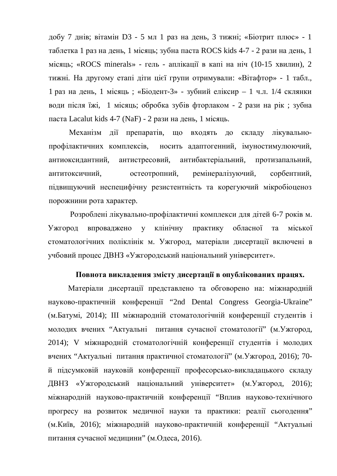добу 7 днів; вітамін D3 - 5 мл 1 раз на день, 3 тижні; «Біотрит плюс» - 1 таблетка 1 раз на день, 1 місяць; зубна паста ROCS kids 4-7 - 2 рази на день, 1 місяць; «ROCS minerals» - гель - аплікації в капі на ніч (10-15 хвилин), 2 тижні. На другому етапі діти цієї групи отримували: «Вітафтор» - 1 табл., 1 раз на день, 1 місяць; «Біодент-3» - зубний еліксир – 1 ч.л. 1/4 склянки води після їжі, 1 місяць; обробка зубів фторлаком - 2 рази на рік; зубна паста Lacalut kids 4-7 (NaF) - 2 рази на день, 1 місяць.

Механізм дії препаратів, що входять до складу лікувальнопрофілактичних комплексів, носить адаптогенний, імуностимулюючий, антиоксидантний, антистресовий, антибактеріальний, протизапальний, антитоксичний, остеотропний, ремінералізуючий, сорбентний, підвищуючий неспецифічну резистентність та корегуючий мікробіоценоз порожнини рота характер.

Розроблені лікувально-профілактичні комплекси для дітей 6-7 років м. Ужгород впроваджено у клінічну практику обласної та міської стоматологічних поліклінік м. Ужгород, матеріали дисертації включені в учбовий процес ДВНЗ «Ужгородський національний університет».

#### Повнота викладення змісту дисертації в опублікованих працях.

Матеріали дисертації представлено та обговорено на: міжнародній науково-практичній конференції "2nd Dental Congress Georgia-Ukraine" (м. Батумі, 2014); III міжнародній стоматологічній конференції студентів і молодих вчених "Актуальні питання сучасної стоматології" (м. Ужгород, 2014); V міжнародній стоматологічній конференції студентів і молодих вчених "Актуальні питання практичної стоматології" (м. Ужгород, 2016); 70й підсумковій науковій конференції професорсько-викладацького складу ДВНЗ «Ужгородський національний університет» (м. Ужгород, 2016); міжнародній науково-практичній конференції "Вплив науково-технічного прогресу на розвиток медичної науки та практики: реалії сьогодення" (м. Київ, 2016); міжнародній науково-практичній конференції "Актуальні питання сучасної медицини" (м. Одеса, 2016).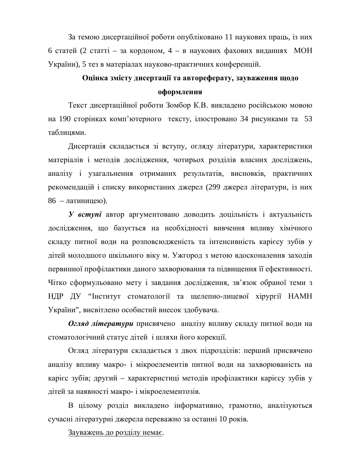За темою дисертаційної роботи опубліковано 11 наукових праць, із них 6 статей (2 статті – за кордоном, 4 – в наукових фахових виданнях МОН України), 5 тез в матеріалах науково-практичних конференцій.

# **Ɉɰɿɧɤɚɡɦɿɫɬɭɞɢɫɟɪɬɚɰɿʀɬɚɚɜɬɨɪɟɮɟɪɚɬɭ, ɡɚɭɜɚɠɟɧɧɹɳɨɞɨ оформлення**

Текст дисертаційної роботи Зомбор К.В. викладено російською мовою на 190 сторінках комп'ютерного тексту, ілюстровано 34 рисунками та 53 таблицями.

Дисертація складається зі вступу, огляду літератури, характеристики матеріалів і методів дослідження, чотирьох розділів власних досліджень, аналізу і узагальнення отриманих результатів, висновків, практичних рекомендацій і списку використаних джерел (299 джерел літератури, із них 86 – латиницею).

**У вступі** автор аргументовано доводить доцільність і актуальність дослідження, що базується на необхідності вивчення впливу хімічного складу питної води на розповсюдженість та інтенсивність карієсу зубів у дітей молодшого шкільного віку м. Ужгород з метою вдосконалення заходів первинної профілактики даного захворювання та підвищення її ефективності. Чітко сформульовано мету і завдання дослідження, зв'язок обраної теми з НДР ДУ "Інститут стоматології та щелепно-лицевої хірургії НАМН України", висвітлено особистий внесок здобувача.

**Огляд літератури** присвячено аналізу впливу складу питної води на стоматологічний статус дітей і шляхи його корекції.

Огляд літератури складається з двох підрозділів: перший присвячено аналізу впливу макро- і мікроелементів питної води на захворюваність на харієс зубів; другий – характеристиці методів профілактики карієсу зубів у дітей за наявності макро- і мікроелементозів.

В цілому розділ викладено інформативно, грамотно, аналізуються сучасні літературні джерела переважно за останні 10 років.

Зауважень до розділу немає.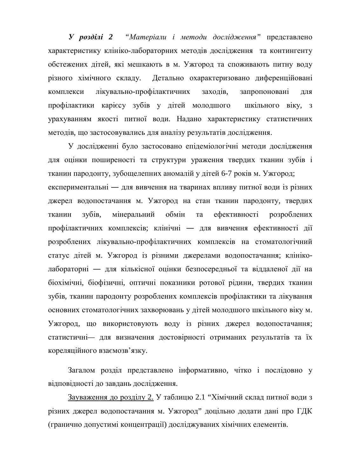**У розділі 2** "Матеріали і методи дослідження" представлено характеристику клініко-лабораторних методів дослідження та контингенту обстежених дітей, які мешкають в м. Ужгород та споживають питну воду різного хімічного складу. Детально охарактеризовано диференційовані комплекси лікувально-профілактичних заходів, запропоновані для профілактики карієсу зубів у дітей молодшого шкільного віку, з урахуванням якості питної води. Надано характеристику статистичних методів, що застосовувались для аналізу результатів дослідження.

У дослідженні було застосовано епідеміологічні методи дослідження для оцінки поширеності та структури ураження твердих тканин зубів і тканин пародонту, зубощелепних аномалій у дітей 6-7 років м. Ужгород; експериментальні — для вивчення на тваринах впливу питної води із різних джерел водопостачання м. Ужгород на стан тканин пародонту, твердих тканин зубів, мінеральний обмін та ефективності розроблених профілактичних комплексів; клінічні — для вивчення ефективності дії розроблених лікувально-профілактичних комплексів на стоматологічний статус дітей м. Ужгород із різними джерелами водопостачання; клініколабораторні — для кількісної оцінки безпосередньої та віддаленої дії на біохімічні, біофізичні, оптичні показники ротової рідини, твердих тканин зубів, тканин пародонту розроблених комплексів профілактики та лікування основних стоматологічних захворювань у дітей молодшого шкільного віку м. Ужгород, що використовують воду із різних джерел водопостачання; статистичні- для визначення достовірності отриманих результатів та їх кореляційного взаємозв'язку.

Загалом розділ представлено інформативно, чітко і послідовно у відповідності до завдань дослідження.

Зауваження до розділу 2. У таблицю 2.1 "Хімічний склад питної води з різних джерел водопостачання м. Ужгород" доцільно додати дані про ГДК (гранично допустимі концентрації) досліджуваних хімічних елементів.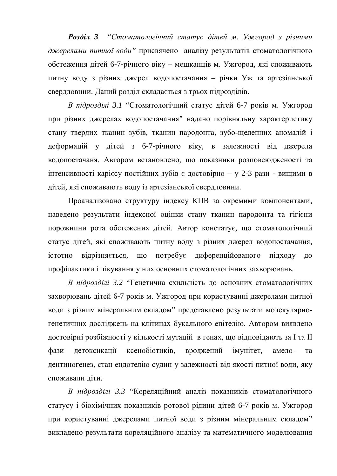**Розділ 3** "Стоматологічний статус дітей м. Ужгород з різними джерелами питної води" присвячено аналізу результатів стоматологічного обстеження дітей 6-7-річного віку – мешканців м. Ужгород, які споживають питну воду з різних джерел водопостачання – річки Уж та артезіанської свердловини. Даний розділ складається з трьох підрозділів.

*В підрозділі 3.1* "Стоматологічний статус дітей 6-7 років м. Ужгород при різних джерелах водопостачання" надано порівняльну характеристику стану твердих тканин зубів, тканин пародонта, зубо-щелепних аномалій і деформацій у дітей з 6-7-річного віку, в залежності від джерела водопостачаня. Автором встановлено, що показники розповсюдженості та інтенсивності карієсу постійних зубів є достовірно – у 2-3 рази - вищими в дітей, які споживають воду із артезіанської свердловини.

Проаналізовано структуру індексу КПВ за окремими компонентами, наведено результати індексної оцінки стану тканин пародонта та гігієни порожнини рота обстежених дітей. Автор констатує, що стоматологічний статус дітей, які споживають питну воду з різних джерел водопостачання, істотно відрізняється, що потребує диференційованого підходу до профілактики і лікування у них основних стоматологічних захворювань.

В підрозділі 3.2 "Генетична схильність до основних стоматологічних захворювань дітей 6-7 років м. Ужгород при користуванні джерелами питної води з різним мінеральним складом" представлено результати молекулярногенетичних досліджень на клітинах букального епітелію. Автором виявлено достовірні розбіжності у кількості мутацій в генах, що відповідають за І та II фази детоксикації ксенобіотиків, вроджений імунітет, амело- та дентиногенез, стан ендотелію судин у залежності від якості питної води, яку споживали діти.

*В підрозділі 3.3* "Кореляційний аналіз показників стоматологічного статусу і біохімічних показників ротової рідини дітей 6-7 років м. Ужгород при користуванні джерелами питної води з різним мінеральним складом" викладено результати кореляційного аналізу та математичного моделювання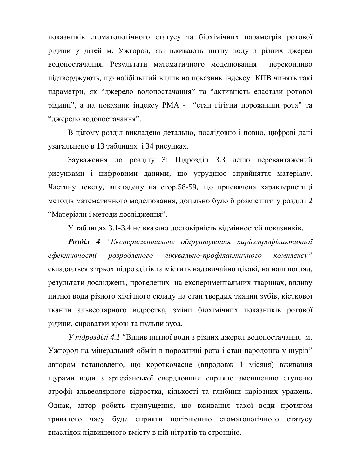показників стоматологічного статусу та біохімічних параметрів ротової рідини у дітей м. Ужгород, які вживають питну воду з різних джерел водопостачання. Результати математичного моделювання переконливо підтверджують, що найбільший вплив на показник індексу КПВ чинять такі параметри, як "джерело водопостачання" та "активність еластази ротової рідини", а на показник індексу РМА - "стан гігієни порожнини рота" та "джерело водопостачання".

В цілому розділ викладено детально, послідовно і повно, цифрові дані узагальнено в 13 таблицях і 34 рисунках.

Зауваження до розділу 3: Підрозділ 3.3 дещо перевантажений рисунками і цифровими даними, що утруднює сприйняття матеріалу. Частину тексту, викладену на стор.58-59, що присвячена характеристиці методів математичного моделювання, доцільно було б розмістити у розділі 2 "Матеріали і методи дослідження".

У таблицях 3.1-3.4 не вказано достовірність відмінностей показників.

*Ɋɨɡɞɿɥ 4 ³ȿɤɫɩɟɪɢɦɟɧɬɚɥɶɧɟ ɨɛʉɪɭɧɬɭɜɚɧɧɹ ɤɚɪɿɽɫɩɪɨɮɿɥɚɤɬɢɱɧɨʀ*  $e\phi$ ективності розробленого лікувально-профілактичного комплексу" складається з трьох підрозділів та містить надзвичайно цікаві, на наш погляд, результати досліджень, проведених на експериментальних тваринах, впливу питної води різного хімічного складу на стан твердих тканин зубів, кісткової тканин альвеолярного відростка, зміни біохімічних показників ротової рідини, сироватки крові та пульпи зуба.

*У підрозділі 4.1* "Вплив питної води з різних джерел водопостачання м. Ужгород на мінеральний обмін в порожнині рота і стан пародонта у щурів" автором встановлено, що короткочасне (впродовж 1 місяця) вживання щурами води з артезіанської свердловини сприяло зменшенню ступеню атрофії альвеолярного відростка, кількості та глибини каріозних уражень. Однак, автор робить припущення, що вживання такої води протягом тривалого часу буде сприяти погіршенню стоматологічного статусу внаслідок підвищеного вмісту в ній нітратів та стронцію.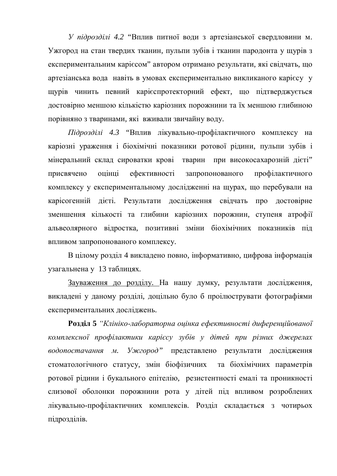*У підрозділі 4.2* "Вплив питної води з артезіанської свердловини м. Ужгород на стан твердих тканин, пульпи зубів і тканин пародонта у щурів з експериментальним карієсом" автором отримано результати, які свідчать, що артезіанська вода навіть в умовах експериментально викликаного карієсу у щурів чинить певний карієспротекторний ефект, що підтверджується достовірно меншою кількістю каріозних порожнини та їх меншою глибиною порівняно з тваринами, які вживали звичайну воду.

*Підрозділі 4.3* "Вплив лікувально-профілактичного комплексу на каріозні ураження і біохімічні показники ротової рідини, пульпи зубів і мінеральний склад сироватки крові тварин при високосахарозній дієті" присвячено оцінці ефективності запропонованого профілактичного комплексу у експериментальному дослідженні на щурах, що перебували на карісогенній дієті. Результати дослідження свідчать про достовірне зменшення кількості та глибини каріозних порожнин, ступеня атрофії альвеолярного відростка, позитивні зміни біохімічних показників під впливом запропонованого комплексу.

В цілому розділ 4 викладено повно, інформативно, цифрова інформація узагальнена у 13 таблицях.

Зауваження до розділу. На нашу думку, результати дослідження, викладені у даному розділі, доцільно було б проілюструвати фотографіями експериментальних досліджень.

**Розділ 5** "Клініко-лабораторна оцінка ефективності диференційованої комплексної профілактики карієсу зубів у дітей при різних джерелах водопостачання м. Ужегород" представлено результати дослідження стоматологічного статусу, змін біофізичних та біохімічних параметрів ротової рідини і букального епітелію, резистентності емалі та проникності слизової оболонки порожнини рота у дітей під впливом розроблених лікувально-профілактичних комплексів. Розділ складається з чотирьох пілрозлілів.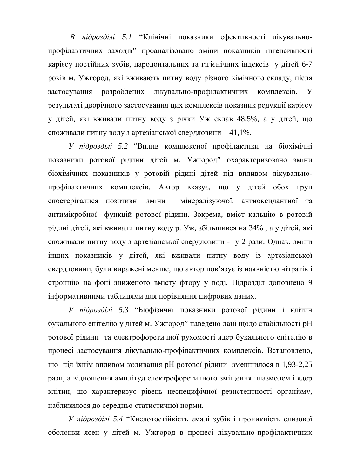В підрозділі 5.1 "Клінічні показники ефективності лікувальнопрофілактичних заходів" проаналізовано зміни показників інтенсивності карієсу постійних зубів, пародонтальних та гігієнічних індексів у дітей 6-7 років м. Ужгород, які вживають питну воду різного хімічного складу, після застосування розроблених лікувально-профілактичних комплексів. У результаті дворічного застосування цих комплексів показник редукції карієсу у дітей, які вживали питну воду з річки Уж склав 48,5%, а у дітей, що споживали питну воду з артезіанської свердловини – 41,1%.

*У підрозділі 5.2* "Вплив комплексної профілактики на біохімічні показники ротової рідини дітей м. Ужгород" охарактеризовано зміни біохімічних показників у ротовій рідині дітей під впливом лікувальнопрофілактичних комплексів. Автор вказує, що у дітей обох груп спостерігалися позитивні зміни мінералізуючої, антиоксидантної та антимікробної функцій ротової рідини. Зокрема, вміст кальцію в ротовій рідині дітей, які вживали питну воду р. Уж, збільшився на 34%, а у дітей, які споживали питну воду з артезіанської свердловини - у 2 рази. Однак, зміни інших показників у дітей, які вживали питну воду із артезіанської свердловини, були виражені менше, що автор пов'язує із наявністю нітратів і стронцію на фоні зниженого вмісту фтору у воді. Підрозділ доповнено 9 інформативними таблицями для порівняння цифрових даних.

*У підрозділі 5.3* "Біофізичні показники ротової рідини і клітин букального епітелію у дітей м. Ужгород" наведено дані щодо стабільності рН ротової рідини та електрофоретичної рухомості ядер букального епітелію в процесі застосування лікувально-профілактичних комплексів. Встановлено, що під їхнім впливом коливання рН ротової рідини зменшилося в 1,93-2,25 рази, а відношення амплітуд електрофоретичного зміщення плазмолем і ядер клітин, що характеризує рівень неспецифічної резистентності організму, наблизилося до середньо статистичної норми.

У підрозділі 5.4 "Кислотостійкість емалі зубів і проникність слизової оболонки ясен у дітей м. Ужгород в процесі лікувально-профілактичних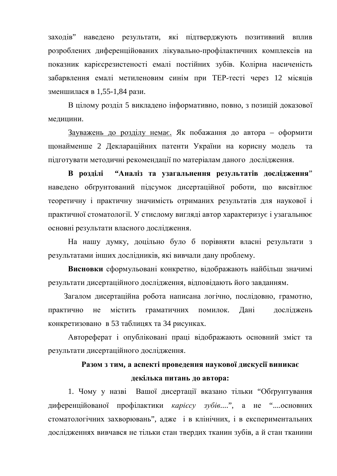заходів" наведено результати, які підтверджують позитивний вплив розроблених диференційованих лікувально-профілактичних комплексів на показник каріє срезистеності емалі постійних зубів. Колірна насиченість забарвлення емалі метиленовим синім при ТЕР-тесті через 12 місяців зменшилася в 1,55-1,84 рази.

В цілому розділ 5 викладено інформативно, повно, з позицій доказової медицини.

Зауважень до розділу немає. Як побажання до автора – оформити щонайменше 2 Деклараційних патенти України на корисну модель та підготувати методичні рекомендації по матеріалам даного дослідження.

В розділі "Аналіз та узагальнення результатів дослідження" наведено обгрунтований підсумок дисертаційної роботи, що висвітлює теоретичну і практичну значимість отриманих результатів для наукової і практичної стоматології. У стислому вигляді автор характеризує і узагальнює основні результати власного дослідження.

На нашу думку, доцільно було б порівняти власні результати з результатами інших дослідників, які вивчали дану проблему.

Висновки сформульовані конкретно, відображають найбільш значимі результати дисертаційного дослідження, відповідають його завданням.

Загалом дисертаційна робота написана логічно, послідовно, грамотно, практично не містить граматичних помилок. Дані досліджень конкретизовано в 53 таблицях та 34 рисунках.

Автореферат і опубліковані праці відображають основний зміст та результати дисертаційного дослідження.

# Разом з тим, а аспекті проведення наукової дискусії виникає

# декілька питань до автора:

1. Чому у назві Вашої дисертації вказано тільки "Обгрунтування диференційованої профілактики *карієсу зубів...*.", а не "....основних стоматологічних захворювань", адже і в клінічних, і в експериментальних дослідженнях вивчався не тільки стан твердих тканин зубів, а й стан тканини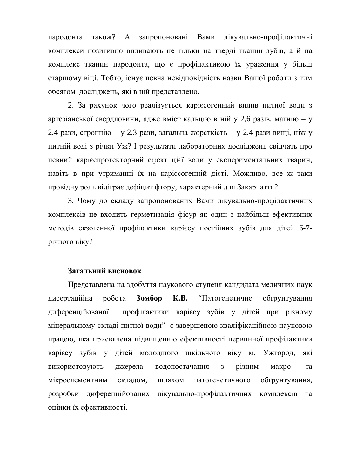пародонта також? А запропоновані Вами лікувально-профілактичні комплекси позитивно впливають не тільки на тверді тканин зубів, а й на комплекс тканин пародонта, що є профілактикою їх ураження у більш старшому віці. Тобто, існує певна невідповідність назви Вашої роботи з тим обсягом досліджень, які в ній представлено.

2. За рахунок чого реалізується каріє согенний вплив питної води з артезіанської свердловини, адже вміст кальцію в ній у 2,6 разів, магнію – у  $2,4$  рази, стронцію – у 2,3 рази, загальна жорсткість – у 2,4 рази вищі, ніж у питній воді з річки Уж? І результати лабораторних досліджень свідчать про певний карієспротекторний ефект цієї води у експериментальних тварин, навіть в при утриманні їх на карієсогенній дієті. Можливо, все ж таки провідну роль відіграє дефіцит фтору, характерний для Закарпаття?

3. Чому до складу запропонованих Вами лікувально-профілактичних комплексів не входить герметизація фісур як один з найбільш ефективних методів екзогенної профілактики карієсу постійних зубів для дітей 6-7річного віку?

## Загальний висновок

Представлена на здобуття наукового ступеня кандидата медичних наук дисертаційна робота Зомбор К.В. "Патогенетичне обґрунтування диференційованої профілактики карієсу зубів у дітей при різному мінеральному складі питної води" є завершеною кваліфікаційною науковою працею, яка присвячена підвищенню ефективності первинної профілактики карієсу зубів у дітей молодшого шкільного віку м. Ужгород, які використовують джерела водопостачання з різним макро- та мікроелементним складом, шляхом патогенетичного обґрунтування, розробки диференційованих лікувально-профілактичних комплексів та оцінки їх ефективності.